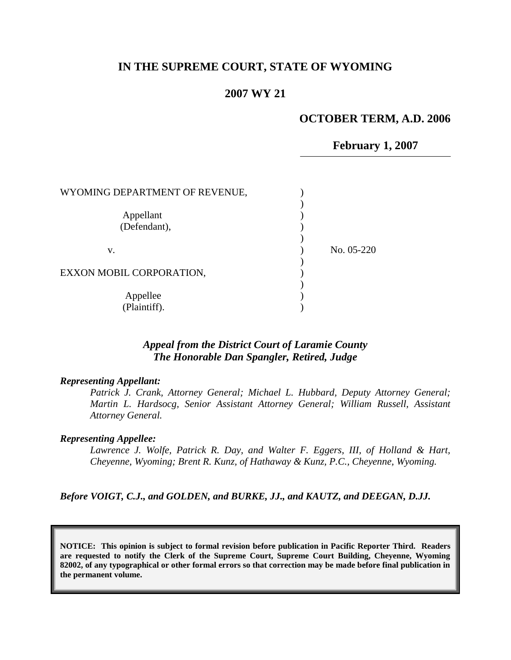## **IN THE SUPREME COURT, STATE OF WYOMING**

### **2007 WY 21**

### **OCTOBER TERM, A.D. 2006**

**February 1, 2007**

| WYOMING DEPARTMENT OF REVENUE, |            |
|--------------------------------|------------|
| Appellant<br>(Defendant),      |            |
| v.                             | No. 05-220 |
| EXXON MOBIL CORPORATION,       |            |
| Appellee<br>(Plaintiff).       |            |

# *Appeal from the District Court of Laramie County The Honorable Dan Spangler, Retired, Judge*

#### *Representing Appellant:*

*Patrick J. Crank, Attorney General; Michael L. Hubbard, Deputy Attorney General; Martin L. Hardsocg, Senior Assistant Attorney General; William Russell, Assistant Attorney General.*

#### *Representing Appellee:*

*Lawrence J. Wolfe, Patrick R. Day, and Walter F. Eggers, III, of Holland & Hart, Cheyenne, Wyoming; Brent R. Kunz, of Hathaway & Kunz, P.C., Cheyenne, Wyoming.*

*Before VOIGT, C.J., and GOLDEN, and BURKE, JJ., and KAUTZ, and DEEGAN, D.JJ.*

**NOTICE: This opinion is subject to formal revision before publication in Pacific Reporter Third. Readers are requested to notify the Clerk of the Supreme Court, Supreme Court Building, Cheyenne, Wyoming 82002, of any typographical or other formal errors so that correction may be made before final publication in the permanent volume.**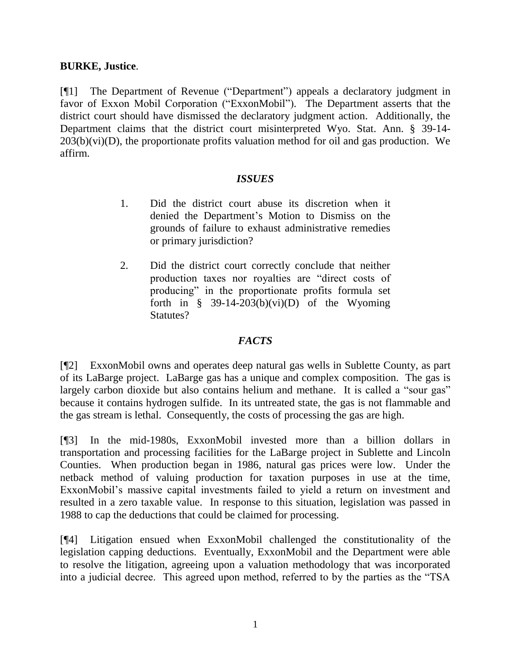# **BURKE, Justice**.

[¶1] The Department of Revenue ("Department") appeals a declaratory judgment in favor of Exxon Mobil Corporation ("ExxonMobil"). The Department asserts that the district court should have dismissed the declaratory judgment action. Additionally, the Department claims that the district court misinterpreted Wyo. Stat. Ann. § 39-14-  $203(b)(vi)(D)$ , the proportionate profits valuation method for oil and gas production. We affirm.

# *ISSUES*

- 1. Did the district court abuse its discretion when it denied the Department's Motion to Dismiss on the grounds of failure to exhaust administrative remedies or primary jurisdiction?
- 2. Did the district court correctly conclude that neither production taxes nor royalties are "direct costs of producing" in the proportionate profits formula set forth in  $\frac{8}{9}$  39-14-203(b)(vi)(D) of the Wyoming Statutes?

# *FACTS*

[¶2] ExxonMobil owns and operates deep natural gas wells in Sublette County, as part of its LaBarge project. LaBarge gas has a unique and complex composition. The gas is largely carbon dioxide but also contains helium and methane. It is called a "sour gas" because it contains hydrogen sulfide. In its untreated state, the gas is not flammable and the gas stream is lethal. Consequently, the costs of processing the gas are high.

[¶3] In the mid-1980s, ExxonMobil invested more than a billion dollars in transportation and processing facilities for the LaBarge project in Sublette and Lincoln Counties. When production began in 1986, natural gas prices were low. Under the netback method of valuing production for taxation purposes in use at the time, ExxonMobil's massive capital investments failed to yield a return on investment and resulted in a zero taxable value. In response to this situation, legislation was passed in 1988 to cap the deductions that could be claimed for processing.

[¶4] Litigation ensued when ExxonMobil challenged the constitutionality of the legislation capping deductions. Eventually, ExxonMobil and the Department were able to resolve the litigation, agreeing upon a valuation methodology that was incorporated into a judicial decree. This agreed upon method, referred to by the parties as the "TSA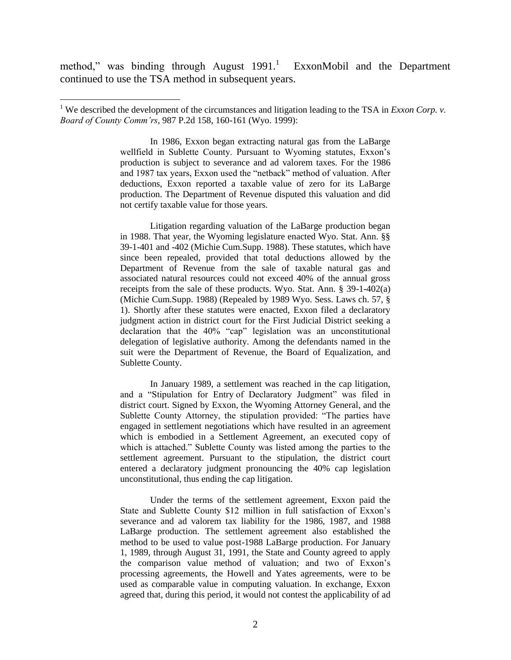method," was binding through August  $1991$ .<sup>1</sup> ExxonMobil and the Department continued to use the TSA method in subsequent years.

 $\overline{a}$ 

In 1986, Exxon began extracting natural gas from the LaBarge wellfield in Sublette County. Pursuant to Wyoming statutes, Exxon's production is subject to severance and ad valorem taxes. For the 1986 and 1987 tax years, Exxon used the "netback" method of valuation. After deductions, Exxon reported a taxable value of zero for its LaBarge production. The Department of Revenue disputed this valuation and did not certify taxable value for those years.

Litigation regarding valuation of the LaBarge production began in 1988. That year, the Wyoming legislature enacted Wyo. Stat. Ann. §§ 39-1-401 and -402 (Michie Cum.Supp. 1988). These statutes, which have since been repealed, provided that total deductions allowed by the Department of Revenue from the sale of taxable natural gas and associated natural resources could not exceed 40% of the annual gross receipts from the sale of these products. Wyo. Stat. Ann. § 39-1-402(a) (Michie Cum.Supp. 1988) (Repealed by 1989 Wyo. Sess. Laws ch. 57, § 1). Shortly after these statutes were enacted, Exxon filed a declaratory judgment action in district court for the First Judicial District seeking a declaration that the 40% "cap" legislation was an unconstitutional delegation of legislative authority. Among the defendants named in the suit were the Department of Revenue, the Board of Equalization, and Sublette County.

In January 1989, a settlement was reached in the cap litigation, and a "Stipulation for Entry of Declaratory Judgment" was filed in district court. Signed by Exxon, the Wyoming Attorney General, and the Sublette County Attorney, the stipulation provided: "The parties have engaged in settlement negotiations which have resulted in an agreement which is embodied in a Settlement Agreement, an executed copy of which is attached." Sublette County was listed among the parties to the settlement agreement. Pursuant to the stipulation, the district court entered a declaratory judgment pronouncing the 40% cap legislation unconstitutional, thus ending the cap litigation.

Under the terms of the settlement agreement, Exxon paid the State and Sublette County \$12 million in full satisfaction of Exxon's severance and ad valorem tax liability for the 1986, 1987, and 1988 LaBarge production. The settlement agreement also established the method to be used to value post-1988 LaBarge production. For January 1, 1989, through August 31, 1991, the State and County agreed to apply the comparison value method of valuation; and two of Exxon's processing agreements, the Howell and Yates agreements, were to be used as comparable value in computing valuation. In exchange, Exxon agreed that, during this period, it would not contest the applicability of ad

<sup>&</sup>lt;sup>1</sup> We described the development of the circumstances and litigation leading to the TSA in *Exxon Corp. v. Board of County Comm'rs*, 987 P.2d 158, 160-161 (Wyo. 1999):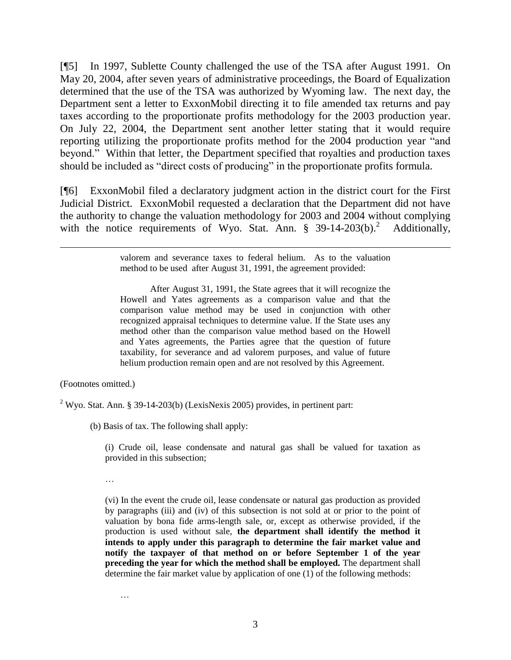[¶5] In 1997, Sublette County challenged the use of the TSA after August 1991. On May 20, 2004, after seven years of administrative proceedings, the Board of Equalization determined that the use of the TSA was authorized by Wyoming law. The next day, the Department sent a letter to ExxonMobil directing it to file amended tax returns and pay taxes according to the proportionate profits methodology for the 2003 production year. On July 22, 2004, the Department sent another letter stating that it would require reporting utilizing the proportionate profits method for the 2004 production year "and beyond." Within that letter, the Department specified that royalties and production taxes should be included as "direct costs of producing" in the proportionate profits formula.

[¶6] ExxonMobil filed a declaratory judgment action in the district court for the First Judicial District. ExxonMobil requested a declaration that the Department did not have the authority to change the valuation methodology for 2003 and 2004 without complying with the notice requirements of Wyo. Stat. Ann.  $\S$  39-14-203(b).<sup>2</sup> Additionally,

> valorem and severance taxes to federal helium. As to the valuation method to be used after August 31, 1991, the agreement provided:

> After August 31, 1991, the State agrees that it will recognize the Howell and Yates agreements as a comparison value and that the comparison value method may be used in conjunction with other recognized appraisal techniques to determine value. If the State uses any method other than the comparison value method based on the Howell and Yates agreements, the Parties agree that the question of future taxability, for severance and ad valorem purposes, and value of future helium production remain open and are not resolved by this Agreement.

(Footnotes omitted.)

 $\overline{a}$ 

<sup>2</sup> Wyo. Stat. Ann. § 39-14-203(b) (LexisNexis 2005) provides, in pertinent part:

(b) Basis of tax. The following shall apply:

(i) Crude oil, lease condensate and natural gas shall be valued for taxation as provided in this subsection;

…

…

(vi) In the event the crude oil, lease condensate or natural gas production as provided by paragraphs (iii) and (iv) of this subsection is not sold at or prior to the point of valuation by bona fide arms-length sale, or, except as otherwise provided, if the production is used without sale, **the department shall identify the method it intends to apply under this paragraph to determine the fair market value and notify the taxpayer of that method on or before September 1 of the year preceding the year for which the method shall be employed.** The department shall determine the fair market value by application of one (1) of the following methods: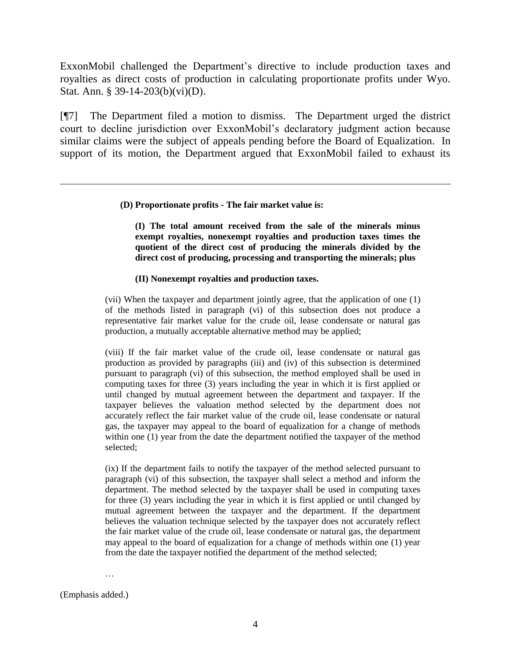ExxonMobil challenged the Department's directive to include production taxes and royalties as direct costs of production in calculating proportionate profits under Wyo. Stat. Ann. § 39-14-203(b)(vi)(D).

[¶7] The Department filed a motion to dismiss. The Department urged the district court to decline jurisdiction over ExxonMobil's declaratory judgment action because similar claims were the subject of appeals pending before the Board of Equalization. In support of its motion, the Department argued that ExxonMobil failed to exhaust its

#### **(D) Proportionate profits - The fair market value is:**

**(I) The total amount received from the sale of the minerals minus exempt royalties, nonexempt royalties and production taxes times the quotient of the direct cost of producing the minerals divided by the direct cost of producing, processing and transporting the minerals; plus**

#### **(II) Nonexempt royalties and production taxes.**

(vii) When the taxpayer and department jointly agree, that the application of one (1) of the methods listed in paragraph (vi) of this subsection does not produce a representative fair market value for the crude oil, lease condensate or natural gas production, a mutually acceptable alternative method may be applied;

(viii) If the fair market value of the crude oil, lease condensate or natural gas production as provided by paragraphs (iii) and (iv) of this subsection is determined pursuant to paragraph (vi) of this subsection, the method employed shall be used in computing taxes for three (3) years including the year in which it is first applied or until changed by mutual agreement between the department and taxpayer. If the taxpayer believes the valuation method selected by the department does not accurately reflect the fair market value of the crude oil, lease condensate or natural gas, the taxpayer may appeal to the board of equalization for a change of methods within one (1) year from the date the department notified the taxpayer of the method selected;

(ix) If the department fails to notify the taxpayer of the method selected pursuant to paragraph (vi) of this subsection, the taxpayer shall select a method and inform the department. The method selected by the taxpayer shall be used in computing taxes for three (3) years including the year in which it is first applied or until changed by mutual agreement between the taxpayer and the department. If the department believes the valuation technique selected by the taxpayer does not accurately reflect the fair market value of the crude oil, lease condensate or natural gas, the department may appeal to the board of equalization for a change of methods within one (1) year from the date the taxpayer notified the department of the method selected;

…

(Emphasis added.)

 $\overline{a}$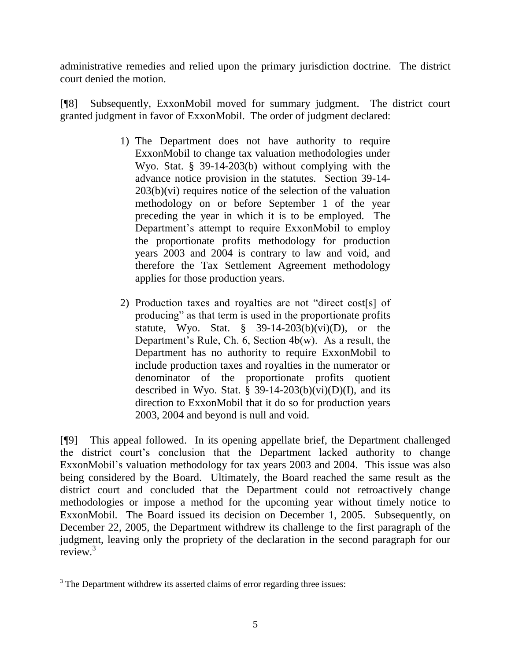administrative remedies and relied upon the primary jurisdiction doctrine. The district court denied the motion.

[¶8] Subsequently, ExxonMobil moved for summary judgment. The district court granted judgment in favor of ExxonMobil. The order of judgment declared:

- 1) The Department does not have authority to require ExxonMobil to change tax valuation methodologies under Wyo. Stat. § 39-14-203(b) without complying with the advance notice provision in the statutes. Section 39-14-  $203(b)(vi)$  requires notice of the selection of the valuation methodology on or before September 1 of the year preceding the year in which it is to be employed. The Department's attempt to require ExxonMobil to employ the proportionate profits methodology for production years 2003 and 2004 is contrary to law and void, and therefore the Tax Settlement Agreement methodology applies for those production years.
- 2) Production taxes and royalties are not "direct cost[s] of producing" as that term is used in the proportionate profits statute, Wyo. Stat.  $\frac{8}{9}$  39-14-203(b)(vi)(D), or the Department's Rule, Ch. 6, Section 4b(w). As a result, the Department has no authority to require ExxonMobil to include production taxes and royalties in the numerator or denominator of the proportionate profits quotient described in Wyo. Stat. § 39-14-203(b)(vi)(D)(I), and its direction to ExxonMobil that it do so for production years 2003, 2004 and beyond is null and void.

[¶9] This appeal followed. In its opening appellate brief, the Department challenged the district court's conclusion that the Department lacked authority to change ExxonMobil's valuation methodology for tax years 2003 and 2004. This issue was also being considered by the Board. Ultimately, the Board reached the same result as the district court and concluded that the Department could not retroactively change methodologies or impose a method for the upcoming year without timely notice to ExxonMobil. The Board issued its decision on December 1, 2005. Subsequently, on December 22, 2005, the Department withdrew its challenge to the first paragraph of the judgment, leaving only the propriety of the declaration in the second paragraph for our review.<sup>3</sup>

 $\overline{a}$ 

 $3$  The Department withdrew its asserted claims of error regarding three issues: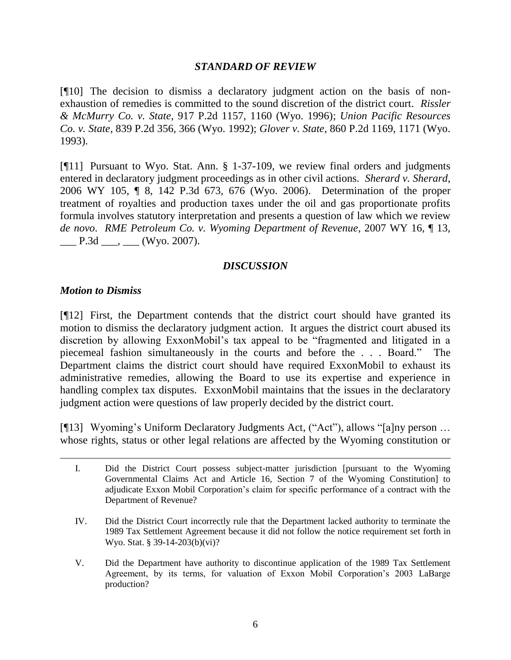## *STANDARD OF REVIEW*

[¶10] The decision to dismiss a declaratory judgment action on the basis of nonexhaustion of remedies is committed to the sound discretion of the district court. *Rissler & McMurry Co. v. State*, 917 P.2d 1157, 1160 (Wyo. 1996); *Union Pacific Resources Co. v. State*, 839 P.2d 356, 366 (Wyo. 1992); *Glover v. State*, 860 P.2d 1169, 1171 (Wyo. 1993).

[¶11] Pursuant to Wyo. Stat. Ann. § 1-37-109, we review final orders and judgments entered in declaratory judgment proceedings as in other civil actions. *Sherard v. Sherard*, 2006 WY 105, ¶ 8, 142 P.3d 673, 676 (Wyo. 2006). Determination of the proper treatment of royalties and production taxes under the oil and gas proportionate profits formula involves statutory interpretation and presents a question of law which we review *de novo*. *RME Petroleum Co. v. Wyoming Department of Revenue*, 2007 WY 16, ¶ 13,  $\_\_$  P.3d  $\_\_$ ,  $\_\_$  (Wyo. 2007).

# *DISCUSSION*

# *Motion to Dismiss*

 $\overline{a}$ 

[¶12] First, the Department contends that the district court should have granted its motion to dismiss the declaratory judgment action. It argues the district court abused its discretion by allowing ExxonMobil's tax appeal to be "fragmented and litigated in a piecemeal fashion simultaneously in the courts and before the . . . Board." The Department claims the district court should have required ExxonMobil to exhaust its administrative remedies, allowing the Board to use its expertise and experience in handling complex tax disputes. ExxonMobil maintains that the issues in the declaratory judgment action were questions of law properly decided by the district court.

[¶13] Wyoming's Uniform Declaratory Judgments Act, ("Act"), allows "[a]ny person … whose rights, status or other legal relations are affected by the Wyoming constitution or

I. Did the District Court possess subject-matter jurisdiction [pursuant to the Wyoming Governmental Claims Act and Article 16, Section 7 of the Wyoming Constitution] to adjudicate Exxon Mobil Corporation's claim for specific performance of a contract with the Department of Revenue?

IV. Did the District Court incorrectly rule that the Department lacked authority to terminate the 1989 Tax Settlement Agreement because it did not follow the notice requirement set forth in Wyo. Stat. § 39-14-203(b)(vi)?

V. Did the Department have authority to discontinue application of the 1989 Tax Settlement Agreement, by its terms, for valuation of Exxon Mobil Corporation's 2003 LaBarge production?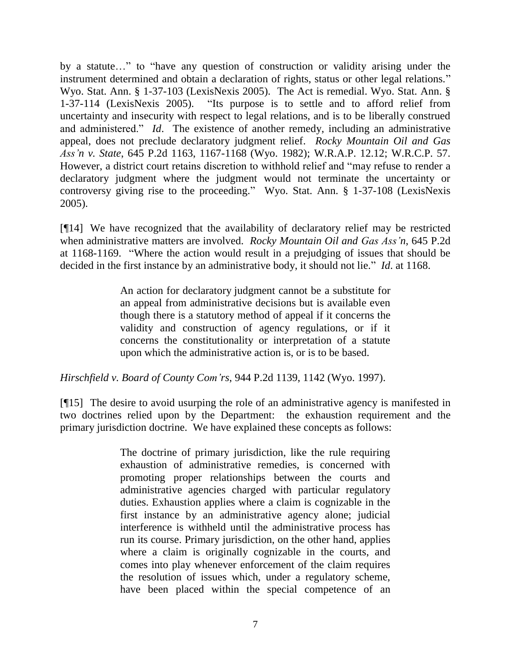by a statute…" to "have any question of construction or validity arising under the instrument determined and obtain a declaration of rights, status or other legal relations." Wyo. Stat. Ann. § 1-37-103 (LexisNexis 2005). The Act is remedial. Wyo. Stat. Ann. § 1-37-114 (LexisNexis 2005). "Its purpose is to settle and to afford relief from uncertainty and insecurity with respect to legal relations, and is to be liberally construed and administered." *Id*. The existence of another remedy, including an administrative appeal, does not preclude declaratory judgment relief. *Rocky Mountain Oil and Gas Ass'n v. State*, 645 P.2d 1163, 1167-1168 (Wyo. 1982); W.R.A.P. 12.12; W.R.C.P. 57. However, a district court retains discretion to withhold relief and "may refuse to render a declaratory judgment where the judgment would not terminate the uncertainty or controversy giving rise to the proceeding." Wyo. Stat. Ann. § 1-37-108 (LexisNexis 2005).

[¶14] We have recognized that the availability of declaratory relief may be restricted when administrative matters are involved. *Rocky Mountain Oil and Gas Ass'n*, 645 P.2d at 1168-1169. "Where the action would result in a prejudging of issues that should be decided in the first instance by an administrative body, it should not lie." *Id*. at 1168.

> An action for declaratory judgment cannot be a substitute for an appeal from administrative decisions but is available even though there is a statutory method of appeal if it concerns the validity and construction of agency regulations, or if it concerns the constitutionality or interpretation of a statute upon which the administrative action is, or is to be based.

*Hirschfield v. Board of County Com'rs*, 944 P.2d 1139, 1142 (Wyo. 1997).

[¶15] The desire to avoid usurping the role of an administrative agency is manifested in two doctrines relied upon by the Department: the exhaustion requirement and the primary jurisdiction doctrine. We have explained these concepts as follows:

> The doctrine of primary jurisdiction, like the rule requiring exhaustion of administrative remedies, is concerned with promoting proper relationships between the courts and administrative agencies charged with particular regulatory duties. Exhaustion applies where a claim is cognizable in the first instance by an administrative agency alone; judicial interference is withheld until the administrative process has run its course. Primary jurisdiction, on the other hand, applies where a claim is originally cognizable in the courts, and comes into play whenever enforcement of the claim requires the resolution of issues which, under a regulatory scheme, have been placed within the special competence of an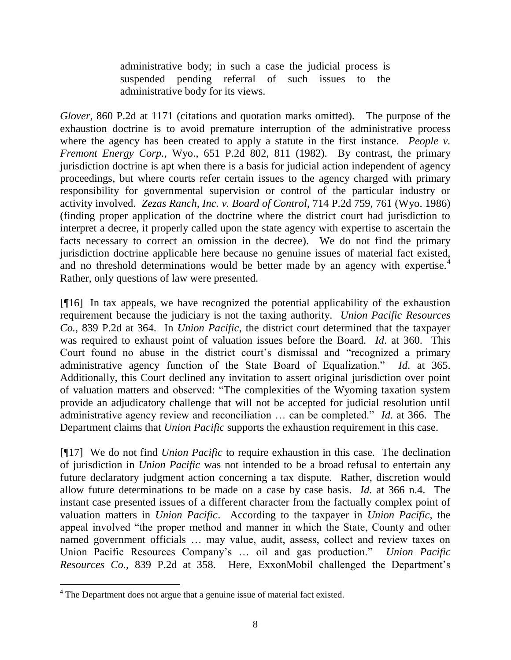administrative body; in such a case the judicial process is suspended pending referral of such issues to the administrative body for its views.

*Glover*, 860 P.2d at 1171 (citations and quotation marks omitted). The purpose of the exhaustion doctrine is to avoid premature interruption of the administrative process where the agency has been created to apply a statute in the first instance. *People v. Fremont Energy Corp.*, Wyo., 651 P.2d 802, 811 (1982). By contrast, the primary jurisdiction doctrine is apt when there is a basis for judicial action independent of agency proceedings, but where courts refer certain issues to the agency charged with primary responsibility for governmental supervision or control of the particular industry or activity involved. *Zezas Ranch, Inc. v. Board of Control*, 714 P.2d 759, 761 (Wyo. 1986) (finding proper application of the doctrine where the district court had jurisdiction to interpret a decree, it properly called upon the state agency with expertise to ascertain the facts necessary to correct an omission in the decree). We do not find the primary jurisdiction doctrine applicable here because no genuine issues of material fact existed, and no threshold determinations would be better made by an agency with expertise.<sup>4</sup> Rather, only questions of law were presented.

[¶16] In tax appeals, we have recognized the potential applicability of the exhaustion requirement because the judiciary is not the taxing authority. *Union Pacific Resources Co.*, 839 P.2d at 364. In *Union Pacific*, the district court determined that the taxpayer was required to exhaust point of valuation issues before the Board. *Id*. at 360. This Court found no abuse in the district court's dismissal and "recognized a primary administrative agency function of the State Board of Equalization." *Id*. at 365. Additionally, this Court declined any invitation to assert original jurisdiction over point of valuation matters and observed: "The complexities of the Wyoming taxation system provide an adjudicatory challenge that will not be accepted for judicial resolution until administrative agency review and reconciliation … can be completed." *Id*. at 366. The Department claims that *Union Pacific* supports the exhaustion requirement in this case.

[¶17] We do not find *Union Pacific* to require exhaustion in this case. The declination of jurisdiction in *Union Pacific* was not intended to be a broad refusal to entertain any future declaratory judgment action concerning a tax dispute. Rather, discretion would allow future determinations to be made on a case by case basis. *Id.* at 366 n.4. The instant case presented issues of a different character from the factually complex point of valuation matters in *Union Pacific*. According to the taxpayer in *Union Pacific*, the appeal involved "the proper method and manner in which the State, County and other named government officials … may value, audit, assess, collect and review taxes on Union Pacific Resources Company's … oil and gas production." *Union Pacific Resources Co.,* 839 P.2d at 358. Here, ExxonMobil challenged the Department's

 $\overline{a}$ 

<sup>&</sup>lt;sup>4</sup> The Department does not argue that a genuine issue of material fact existed.